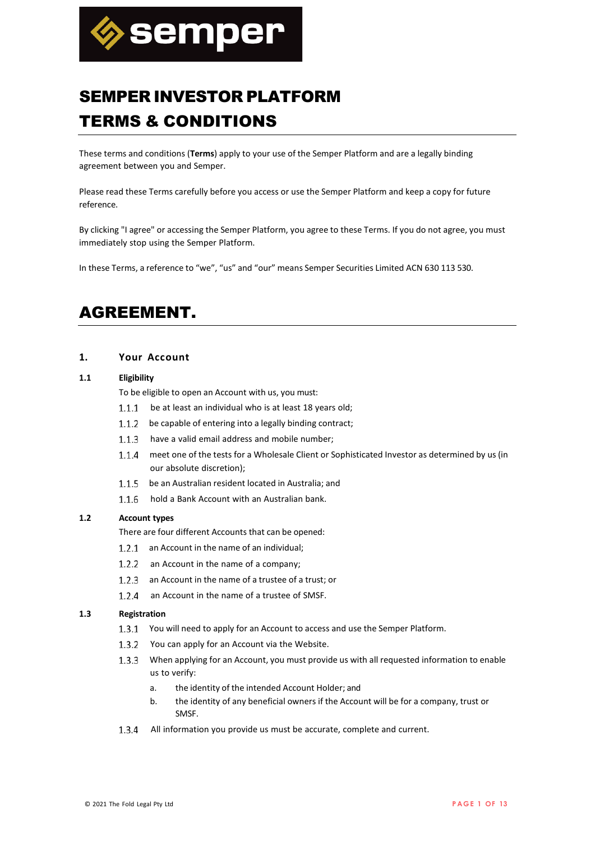

# SEMPER INVESTOR PLATFORM TERMS & CONDITIONS

These terms and conditions (**Terms**) apply to your use of the Semper Platform and are a legally binding agreement between you and Semper.

Please read these Terms carefully before you access or use the Semper Platform and keep a copy for future reference.

By clicking "I agree" or accessing the Semper Platform, you agree to these Terms. If you do not agree, you must immediately stop using the Semper Platform.

In these Terms, a reference to "we", "us" and "our" means Semper Securities Limited ACN 630 113 530.

## AGREEMENT.

## **1. Your Account**

#### <span id="page-0-0"></span>**1.1 Eligibility**

To be eligible to open an Account with us, you must:

- 1.1.1 be at least an individual who is at least 18 years old;
- 1.1.2 be capable of entering into a legally binding contract;
- 1.1.3 have a valid email address and mobile number;
- 1.1.4 meet one of the tests for a Wholesale Client or Sophisticated Investor as determined by us (in our absolute discretion);
- 1.1.5 be an Australian resident located in Australia: and
- 1.1.6 hold a Bank Account with an Australian bank.

## **1.2 Account types**

There are four different Accounts that can be opened:

- 1.2.1 an Account in the name of an individual;
- 1.2.2 an Account in the name of a company;
- 1.2.3 an Account in the name of a trustee of a trust; or
- 1.2.4 an Account in the name of a trustee of SMSF.

### **1.3 Registration**

- 1.3.1 You will need to apply for an Account to access and use the Semper Platform.
- 1.3.2 You can apply for an Account via the Website.
- When applying for an Account, you must provide us with all requested information to enable us to verify:
	- a. the identity of the intended Account Holder; and
	- b. the identity of any beneficial owners if the Account will be for a company, trust or SMSF.
- 1.3.4 All information you provide us must be accurate, complete and current.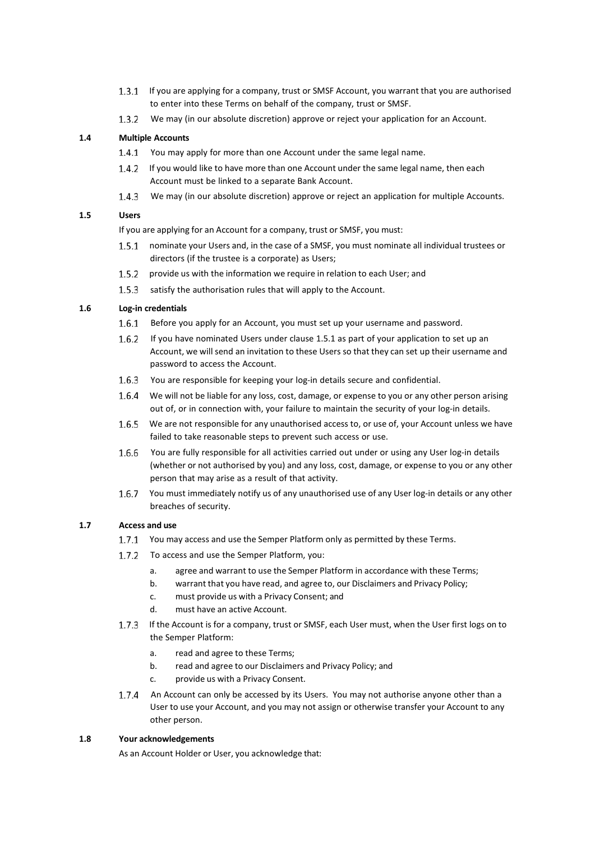- 1.3.1 If you are applying for a company, trust or SMSF Account, you warrant that you are authorised to enter into these Terms on behalf of the company, trust or SMSF.
- 1.3.2 We may (in our absolute discretion) approve or reject your application for an Account.

## **1.4 Multiple Accounts**

- 1.4.1 You may apply for more than one Account under the same legal name.
- 1.4.2 If you would like to have more than one Account under the same legal name, then each Account must be linked to a separate Bank Account.
- We may (in our absolute discretion) approve or reject an application for multiple Accounts.

## **1.5 Users**

If you are applying for an Account for a company, trust or SMSF, you must:

- <span id="page-1-0"></span>1.5.1 nominate your Users and, in the case of a SMSF, you must nominate all individual trustees or directors (if the trustee is a corporate) as Users;
- 1.5.2 provide us with the information we require in relation to each User; and
- 1.5.3 satisfy the authorisation rules that will apply to the Account.

#### **1.6 Log-in credentials**

- 1.6.1 Before you apply for an Account, you must set up your username and password.
- 1.6.2 If you have nominated Users under clause [1.5.1](#page-1-0) [a](#page-1-0)s part of your application to set up an Account, we will send an invitation to these Users so that they can set up their username and password to access the Account.
- 1.6.3 You are responsible for keeping your log-in details secure and confidential.
- 1.6.4 We will not be liable for any loss, cost, damage, or expense to you or any other person arising out of, or in connection with, your failure to maintain the security of your log-in details.
- 1.6.5 We are not responsible for any unauthorised access to, or use of, your Account unless we have failed to take reasonable steps to prevent such access or use.
- You are fully responsible for all activities carried out under or using any User log-in details (whether or not authorised by you) and any loss, cost, damage, or expense to you or any other person that may arise as a result of that activity.
- You must immediately notify us of any unauthorised use of any User log-in details or any other breaches of security.

## **1.7 Access and use**

- 1.7.1 You may access and use the Semper Platform only as permitted by these Terms.
- 1.7.2 To access and use the Semper Platform, you:
	- a. agree and warrant to use the Semper Platform in accordance with these Terms;
	- b. warrant that you have read, and agree to, our Disclaimers and Privacy Policy;
	- c. must provide us with a Privacy Consent; and
	- d. must have an active Account.
- 1.7.3 If the Account is for a company, trust or SMSF, each User must, when the User first logs on to the Semper Platform:
	- a. read and agree to these Terms;
	- b. read and agree to our Disclaimers and Privacy Policy; and
	- c. provide us with a Privacy Consent.
- 1.7.4 An Account can only be accessed by its Users. You may not authorise anyone other than a User to use your Account, and you may not assign or otherwise transfer your Account to any other person.

#### **1.8 Your acknowledgements**

As an Account Holder or User, you acknowledge that: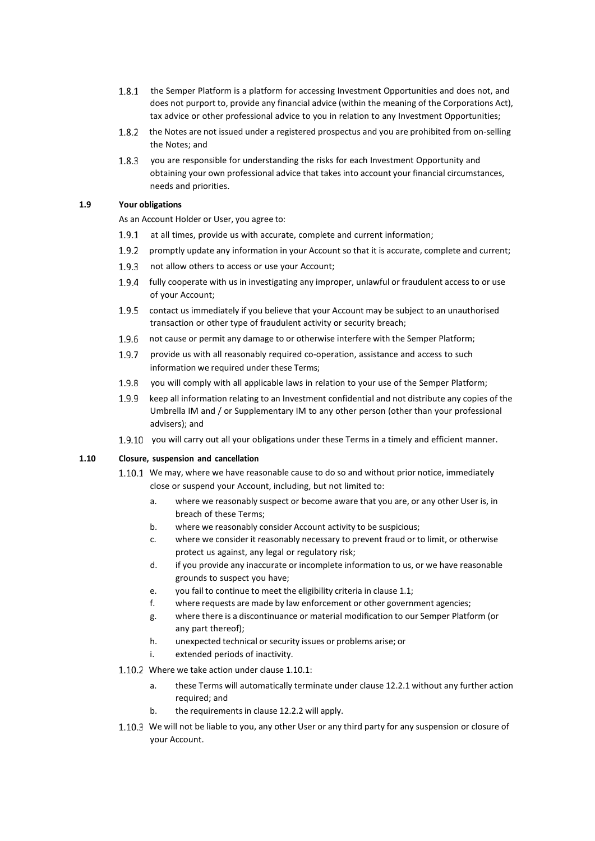- 1.8.1 the Semper Platform is a platform for accessing Investment Opportunities and does not, and does not purport to, provide any financial advice (within the meaning of the Corporations Act), tax advice or other professional advice to you in relation to any Investment Opportunities;
- the Notes are not issued under a registered prospectus and you are prohibited from on-selling the Notes; and
- 1.8.3 vou are responsible for understanding the risks for each Investment Opportunity and obtaining your own professional advice that takes into account your financial circumstances, needs and priorities.

## **1.9 Your obligations**

As an Account Holder or User, you agree to:

- 1.9.1 at all times, provide us with accurate, complete and current information;
- 1.9.2 promptly update any information in your Account so that it is accurate, complete and current;
- 1.9.3 not allow others to access or use your Account;
- fully cooperate with us in investigating any improper, unlawful or fraudulent access to or use of your Account;
- 1.9.5 contact us immediately if you believe that your Account may be subject to an unauthorised transaction or other type of fraudulent activity or security breach;
- 1.9.6 not cause or permit any damage to or otherwise interfere with the Semper Platform;
- 1.9.7 provide us with all reasonably required co-operation, assistance and access to such information we required under these Terms;
- 1.9.8 you will comply with all applicable laws in relation to your use of the Semper Platform;
- 1.9.9 keep all information relating to an Investment confidential and not distribute any copies of the Umbrella IM and / or Supplementary IM to any other person (other than your professional advisers); and
- 1.9.10 you will carry out all your obligations under these Terms in a timely and efficient manner.

## **1.10 Closure, suspension and cancellation**

- <span id="page-2-0"></span>1.10.1 We may, where we have reasonable cause to do so and without prior notice, immediately close or suspend your Account, including, but not limited to:
	- a. where we reasonably suspect or become aware that you are, or any other User is, in breach of these Terms;
	- b. where we reasonably consider Account activity to be suspicious;
	- c. where we consider it reasonably necessary to prevent fraud or to limit, or otherwise protect us against, any legal or regulatory risk;
	- d. if you provide any inaccurate or incomplete information to us, or we have reasonable grounds to suspect you have;
	- e. you fail to continue to meet the eligibility criteria in clause [1.1;](#page-0-0)
	- f. where requests are made by law enforcement or other government agencies;
	- g. where there is a discontinuance or material modification to our Semper Platform (or any part thereof);
	- h. unexpected technical or security issues or problems arise; or
	- i. extended periods of inactivity.
- 1.10.2 Where we take action under clause [1.10.1:](#page-2-0)
	- a. these Terms will automatically terminate under clause [12.2.1](#page-8-0) [w](#page-8-0)ithout any further action required; and
	- b. the requirements in clause [12.2.2](#page-8-1) [w](#page-8-1)ill apply.
- 1.10.3 We will not be liable to you, any other User or any third party for any suspension or closure of your Account.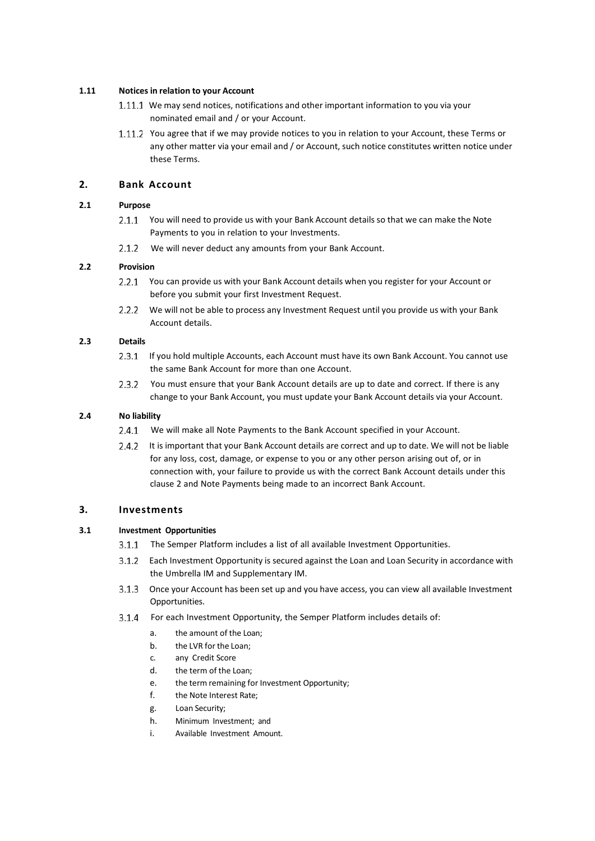## **1.11 Notices in relation to your Account**

- 1.11.1 We may send notices, notifications and other important information to you via your nominated email and / or your Account.
- 1.11.2 You agree that if we may provide notices to you in relation to your Account, these Terms or any other matter via your email and / or Account, such notice constitutes written notice under these Terms.

## <span id="page-3-0"></span>**2. Bank Account**

## **2.1 Purpose**

- 2.1.1 You will need to provide us with your Bank Account details so that we can make the Note Payments to you in relation to your Investments.
- 2.1.2 We will never deduct any amounts from your Bank Account.

## **2.2 Provision**

- 2.2.1 You can provide us with your Bank Account details when you register for your Account or before you submit your first Investment Request.
- 2.2.2 We will not be able to process any Investment Request until you provide us with your Bank Account details.

### **2.3 Details**

- 2.3.1 If you hold multiple Accounts, each Account must have its own Bank Account. You cannot use the same Bank Account for more than one Account.
- 2.3.2 You must ensure that your Bank Account details are up to date and correct. If there is any change to your Bank Account, you must update your Bank Account details via your Account.

## **2.4 No liability**

- 2.4.1 We will make all Note Payments to the Bank Account specified in your Account.
- 2.4.2 It is important that your Bank Account details are correct and up to date. We will not be liable for any loss, cost, damage, or expense to you or any other person arising out of, or in connection with, your failure to provide us with the correct Bank Account details under this clause [2](#page-3-0) and Note Payments being made to an incorrect Bank Account.

## **3. Investments**

## **3.1 Investment Opportunities**

- 3.1.1 The Semper Platform includes a list of all available Investment Opportunities.
- Each Investment Opportunity is secured against the Loan and Loan Security in accordance with the Umbrella IM and Supplementary IM.
- Once your Account has been set up and you have access, you can view all available Investment Opportunities.
- For each Investment Opportunity, the Semper Platform includes details of:
	- a. the amount of the Loan;
	- b. the LVR for the Loan;
	- c. any Credit Score
	- d. the term of the Loan;
	- e. the term remaining for Investment Opportunity;
	- f. the Note Interest Rate;
	- g. Loan Security;
	- h. Minimum Investment; and
	- i. Available Investment Amount.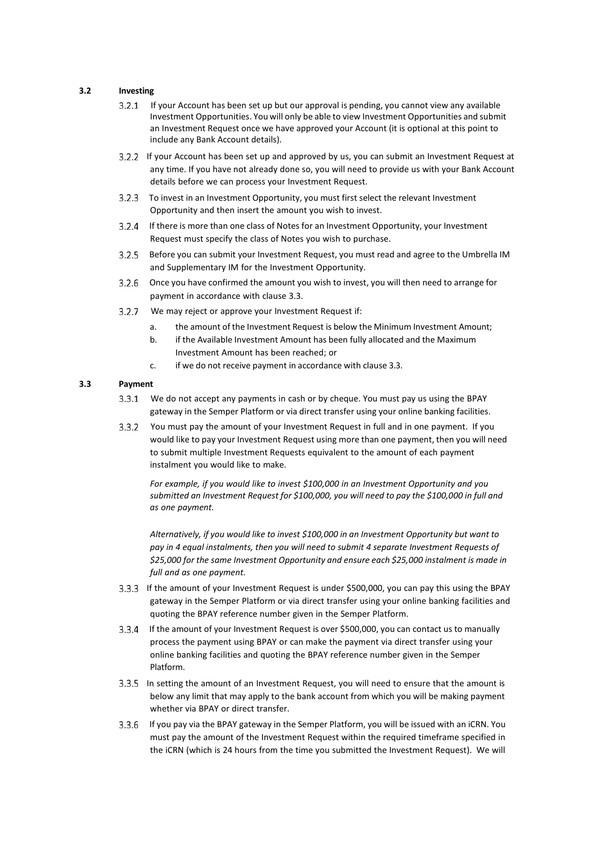## <span id="page-4-1"></span>**3.2 Investing**

- If your Account has been set up but our approval is pending, you cannot view any available Investment Opportunities. You will only be able to view Investment Opportunities and submit an Investment Request once we have approved your Account (it is optional at this point to include any Bank Account details).
- If your Account has been set up and approved by us, you can submit an Investment Request at any time. If you have not already done so, you will need to provide us with your Bank Account details before we can process your Investment Request.
- To invest in an Investment Opportunity, you must first select the relevant Investment Opportunity and then insert the amount you wish to invest.
- If there is more than one class of Notes for an Investment Opportunity, your Investment Request must specify the class of Notes you wish to purchase.
- Before you can submit your Investment Request, you must read and agree to the Umbrella IM and Supplementary IM for the Investment Opportunity.
- Once you have confirmed the amount you wish to invest, you will then need to arrange for payment in accordance with clause [3.3.](#page-4-0)
- We may reject or approve your Investment Request if:
	- a. the amount of the Investment Request is below the Minimum Investment Amount;
	- b. if the Available Investment Amount has been fully allocated and the Maximum Investment Amount has been reached; or
	- c. if we do not receive payment in accordance with clause [3.3.](#page-4-0)

## <span id="page-4-0"></span>**3.3 Payment**

- We do not accept any payments in cash or by cheque. You must pay us using the BPAY gateway in the Semper Platform or via direct transfer using your online banking facilities.
- You must pay the amount of your Investment Request in full and in one payment. If you would like to pay your Investment Request using more than one payment, then you will need to submit multiple Investment Requests equivalent to the amount of each payment instalment you would like to make.

*For example, if you would like to invest \$100,000 in an Investment Opportunity and you submitted an Investment Request for \$100,000, you will need to pay the \$100,000 in full and as one payment.*

*Alternatively, if you would like to invest \$100,000 in an Investment Opportunity but want to pay in 4 equal instalments, then you will need to submit 4 separate Investment Requests of \$25,000 for the same Investment Opportunity and ensure each \$25,000 instalment is made in full and as one payment.*

- If the amount of your Investment Request is under \$500,000, you can pay this using the BPAY gateway in the Semper Platform or via direct transfer using your online banking facilities and quoting the BPAY reference number given in the Semper Platform.
- If the amount of your Investment Request is over \$500,000, you can contact us to manually process the payment using BPAY or can make the payment via direct transfer using your online banking facilities and quoting the BPAY reference number given in the Semper Platform.
- In setting the amount of an Investment Request, you will need to ensure that the amount is below any limit that may apply to the bank account from which you will be making payment whether via BPAY or direct transfer.
- If you pay via the BPAY gateway in the Semper Platform, you will be issued with an iCRN. You must pay the amount of the Investment Request within the required timeframe specified in the iCRN (which is 24 hours from the time you submitted the Investment Request). We will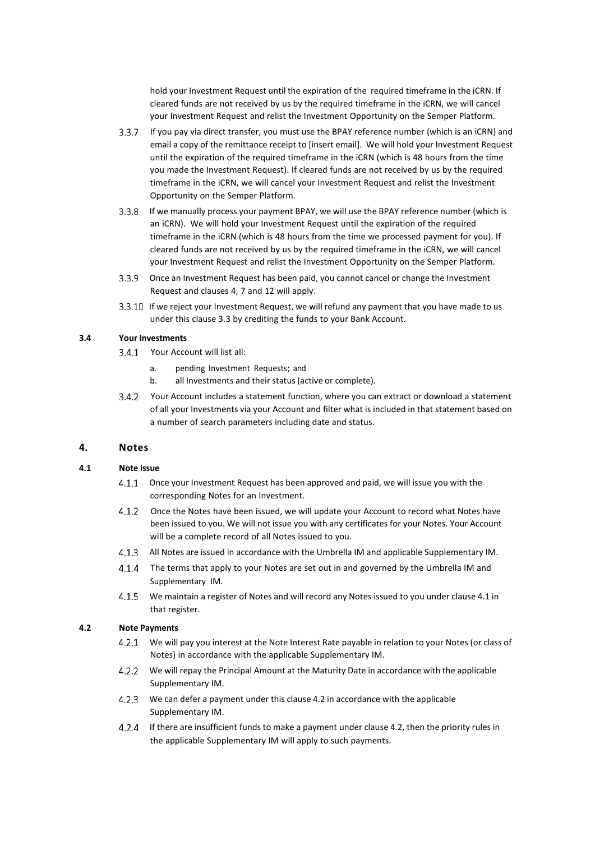hold your Investment Request until the expiration of the required timeframe in the iCRN. If cleared funds are not received by us by the required timeframe in the iCRN, we will cancel your Investment Request and relist the Investment Opportunity on the Semper Platform.

- If you pay via direct transfer, you must use the BPAY reference number (which is an iCRN) and email a copy of the remittance receipt to [insert email]. We will hold your Investment Request until the expiration of the required timeframe in the iCRN (which is 48 hours from the time you made the Investment Request). If cleared funds are not received by us by the required timeframe in the iCRN, we will cancel your Investment Request and relist the Investment Opportunity on the Semper Platform.
- If we manually process your payment BPAY, we will use the BPAY reference number (which is an iCRN). We will hold your Investment Request until the expiration of the required timeframe in the iCRN (which is 48 hours from the time we processed payment for you). If cleared funds are not received by us by the required timeframe in the iCRN, we will cancel your Investment Request and relist the Investment Opportunity on the Semper Platform.
- Once an Investment Request has been paid, you cannot cancel or change the Investment Request and clauses 4, 7 and 12 will apply.
- 3.3.10 If we reject your Investment Request, we will refund any payment that you have made to us under this clause [3.3](#page-4-0) by crediting the funds to your Bank Account.

## <span id="page-5-2"></span>**3.4 Your Investments**

- Your Account will list all:
	- a. pending Investment Requests; and
	- b. all Investments and their status(active or complete).
- Your Account includes a statement function, where you can extract or download a statement of all your Investments via your Account and filter what is included in that statement based on a number of search parameters including date and status.

## **4. Notes**

#### <span id="page-5-0"></span>**4.1 Note issue**

- 4.1.1 Once your Investment Request has been approved and paid, we will issue you with the corresponding Notes for an Investment.
- 4.1.2 Once the Notes have been issued, we will update your Account to record what Notes have been issued to you. We will not issue you with any certificates for your Notes. Your Account will be a complete record of all Notes issued to you.
- All Notes are issued in accordance with the Umbrella IM and applicable Supplementary IM.
- 4.1.4 The terms that apply to your Notes are set out in and governed by the Umbrella IM and Supplementary IM.
- <span id="page-5-3"></span>We maintain a register of Notes and will record any Notes issued to you under clause [4.1](#page-5-0) in that register.

#### <span id="page-5-1"></span>**4.2 Note Payments**

- We will pay you interest at the Note Interest Rate payable in relation to your Notes (or class of Notes) in accordance with the applicable Supplementary IM.
- We will repay the Principal Amount at the Maturity Date in accordance with the applicable Supplementary IM.
- We can defer a payment under this clause [4.2](#page-5-1) in accordance with the applicable Supplementary IM.
- If there are insufficient funds to make a payment under clause [4.2,](#page-5-1) [t](#page-5-1)hen the priority rules in the applicable Supplementary IM will apply to such payments.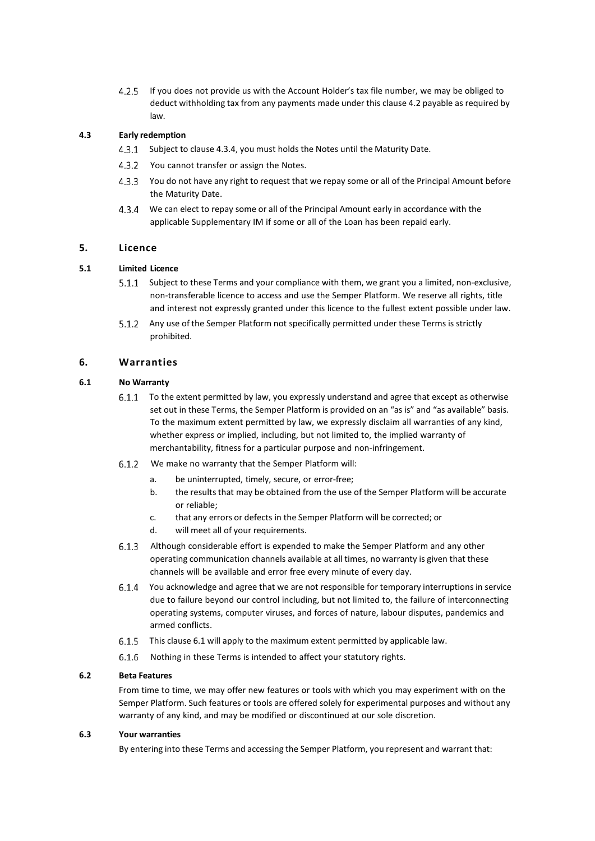<span id="page-6-2"></span>If you does not provide us with the Account Holder's tax file number, we may be obliged to 4 2 5 deduct withholding tax from any payments made under this clause [4.2](#page-5-1) payable as required by law.

## **4.3 Early redemption**

- 4.3.1 Subject to clause [4.3.4,](#page-6-0) [y](#page-6-0)ou must holds the Notes until the Maturity Date.
- 4.3.2 You cannot transfer or assign the Notes.
- You do not have any right to request that we repay some or all of the Principal Amount before the Maturity Date.
- <span id="page-6-0"></span>We can elect to repay some or all of the Principal Amount early in accordance with the applicable Supplementary IM if some or all of the Loan has been repaid early.

## **5. Licence**

## **5.1 Limited Licence**

- 5.1.1 Subject to these Terms and your compliance with them, we grant you a limited, non-exclusive, non-transferable licence to access and use the Semper Platform. We reserve all rights, title and interest not expressly granted under this licence to the fullest extent possible under law.
- 5.1.2 Any use of the Semper Platform not specifically permitted under these Terms is strictly prohibited.

## **6. Warranties**

## <span id="page-6-1"></span>**6.1 No Warranty**

- To the extent permitted by law, you expressly understand and agree that except as otherwise set out in these Terms, the Semper Platform is provided on an "as is" and "as available" basis. To the maximum extent permitted by law, we expressly disclaim all warranties of any kind, whether express or implied, including, but not limited to, the implied warranty of merchantability, fitness for a particular purpose and non-infringement.
- We make no warranty that the Semper Platform will:
	- a. be uninterrupted, timely, secure, or error-free;
	- b. the results that may be obtained from the use of the Semper Platform will be accurate or reliable;
	- c. that any errors or defects in the Semper Platform will be corrected; or
	- d. will meet all of your requirements.
- Although considerable effort is expended to make the Semper Platform and any other operating communication channels available at all times, no warranty is given that these channels will be available and error free every minute of every day.
- You acknowledge and agree that we are not responsible for temporary interruptions in service due to failure beyond our control including, but not limited to, the failure of interconnecting operating systems, computer viruses, and forces of nature, labour disputes, pandemics and armed conflicts.
- [6.1](#page-6-1).5 This clause 6.1 will apply to the maximum extent permitted by applicable law.
- 6.1.6 Nothing in these Terms is intended to affect your statutory rights.

## **6.2 Beta Features**

From time to time, we may offer new features or tools with which you may experiment with on the Semper Platform. Such features or tools are offered solely for experimental purposes and without any warranty of any kind, and may be modified or discontinued at our sole discretion.

#### **6.3 Your warranties**

By entering into these Terms and accessing the Semper Platform, you represent and warrant that: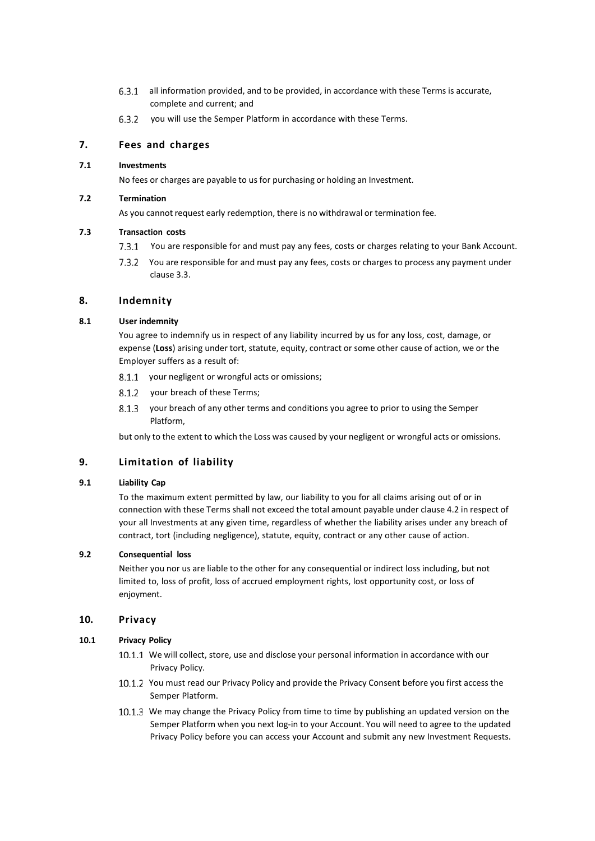- all information provided, and to be provided, in accordance with these Terms is accurate, complete and current; and
- 6.3.2 you will use the Semper Platform in accordance with these Terms.

## **7. Fees and charges**

## **7.1 Investments**

No fees or charges are payable to us for purchasing or holding an Investment.

## **7.2 Termination**

As you cannot request early redemption, there is no withdrawal or termination fee.

## **7.3 Transaction costs**

- 7.3.1 You are responsible for and must pay any fees, costs or charges relating to your Bank Account.
- 7.3.2 You are responsible for and must pay any fees, costs or charges to process any payment under clause [3.3.](#page-4-0)

## **8. Indemnity**

## **8.1 User indemnity**

You agree to indemnify us in respect of any liability incurred by us for any loss, cost, damage, or expense (**Loss**) arising under tort, statute, equity, contract or some other cause of action, we or the Employer suffers as a result of:

- 8.1.1 your negligent or wrongful acts or omissions;
- 8.1.2 your breach of these Terms;
- 8.1.3 your breach of any other terms and conditions you agree to prior to using the Semper Platform,

but only to the extent to which the Loss was caused by your negligent or wrongful acts or omissions.

## **9. Limitation of liability**

## **9.1 Liability Cap**

To the maximum extent permitted by law, our liability to you for all claims arising out of or in connection with these Terms shall not exceed the total amount payable under clause [4.2](#page-5-1) in respect of your all Investments at any given time, regardless of whether the liability arises under any breach of contract, tort (including negligence), statute, equity, contract or any other cause of action.

## **9.2 Consequential loss**

Neither you nor us are liable to the other for any consequential or indirect loss including, but not limited to, loss of profit, loss of accrued employment rights, lost opportunity cost, or loss of enjoyment.

## **10. Privacy**

## **10.1 Privacy Policy**

- 10.1.1 We will collect, store, use and disclose your personal information in accordance with our Privacy Policy.
- 10.1.2 You must read our Privacy Policy and provide the Privacy Consent before you first access the Semper Platform.
- 10.1.3 We may change the Privacy Policy from time to time by publishing an updated version on the Semper Platform when you next log-in to your Account. You will need to agree to the updated Privacy Policy before you can access your Account and submit any new Investment Requests.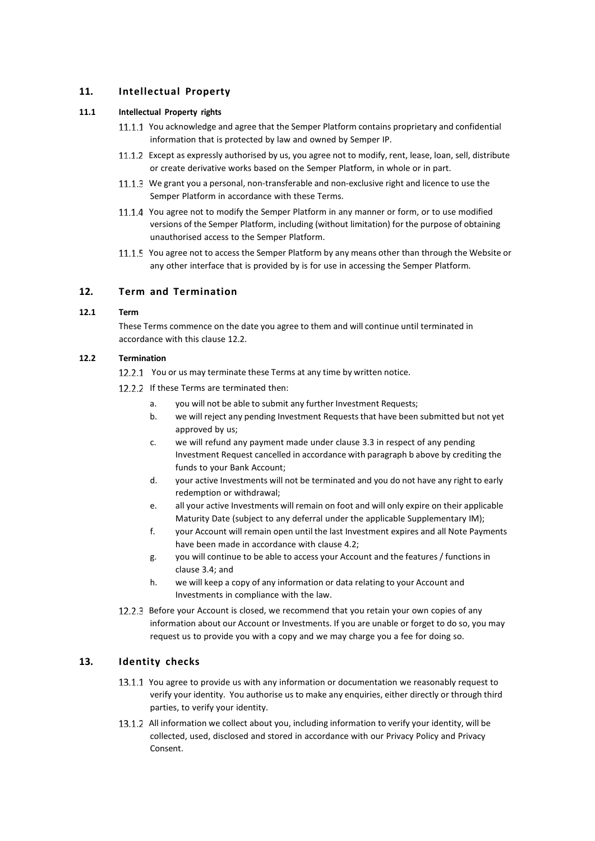## **11. Intellectual Property**

## **11.1 Intellectual Property rights**

- 11.1.1 You acknowledge and agree that the Semper Platform contains proprietary and confidential information that is protected by law and owned by Semper IP.
- 11.1.2 Except as expressly authorised by us, you agree not to modify, rent, lease, loan, sell, distribute or create derivative works based on the Semper Platform, in whole or in part.
- 11.1.3 We grant you a personal, non-transferable and non-exclusive right and licence to use the Semper Platform in accordance with these Terms.
- 11.1.4 You agree not to modify the Semper Platform in any manner or form, or to use modified versions of the Semper Platform, including (without limitation) for the purpose of obtaining unauthorised access to the Semper Platform.
- 11.1.5 You agree not to access the Semper Platform by any means other than through the Website or any other interface that is provided by is for use in accessing the Semper Platform.

## <span id="page-8-4"></span>**12. Term and Termination**

## **12.1 Term**

These Terms commence on the date you agree to them and will continue until terminated in accordance with this clause [12.2.](#page-8-2)

## <span id="page-8-2"></span>**12.2 Termination**

- <span id="page-8-0"></span>12.2.1 You or us may terminate these Terms at any time by written notice.
- <span id="page-8-3"></span><span id="page-8-1"></span>12.2.2 If these Terms are terminated then:
	- a. you will not be able to submit any further Investment Requests;
	- b. we will reject any pending Investment Requeststhat have been submitted but not yet approved by us;
	- c. we will refund any payment made under clause [3.3](#page-4-0) in respect of any pending Investment Request cancelled in accordance with paragraph [b](#page-8-3) above by crediting the funds to your Bank Account;
	- d. your active Investments will not be terminated and you do not have any right to early redemption or withdrawal;
	- e. all your active Investments will remain on foot and will only expire on their applicable Maturity Date (subject to any deferral under the applicable Supplementary IM);
	- f. your Account will remain open until the last Investment expires and all Note Payments have been made in accordance with clause [4.2;](#page-5-1)
	- g. you will continue to be able to access your Account and the features / functions in clause [3.4;](#page-5-2) [a](#page-5-2)nd
	- h. we will keep a copy of any information or data relating to your Account and Investments in compliance with the law.
- 12.2.3 Before your Account is closed, we recommend that you retain your own copies of any information about our Account or Investments. If you are unable or forget to do so, you may request us to provide you with a copy and we may charge you a fee for doing so.

## **13. Identity checks**

- 13.1.1 You agree to provide us with any information or documentation we reasonably request to verify your identity. You authorise us to make any enquiries, either directly or through third parties, to verify your identity.
- 13.1.2 All information we collect about you, including information to verify your identity, will be collected, used, disclosed and stored in accordance with our Privacy Policy and Privacy Consent.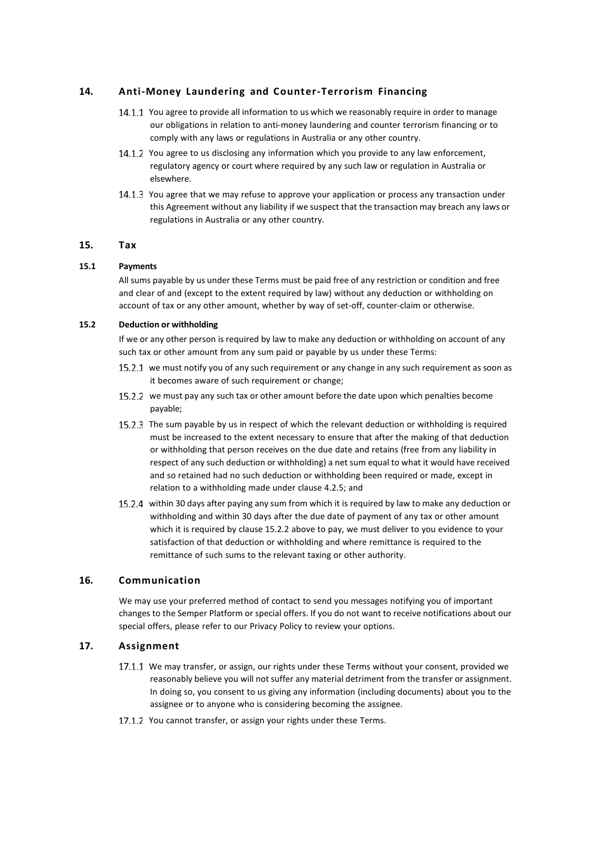## **14. Anti-Money Laundering and Counter-Terrorism Financing**

- 14.1.1 You agree to provide all information to us which we reasonably require in order to manage our obligations in relation to anti-money laundering and counter terrorism financing or to comply with any laws or regulations in Australia or any other country.
- 14.1.2 You agree to us disclosing any information which you provide to any law enforcement, regulatory agency or court where required by any such law or regulation in Australia or elsewhere.
- 14.1.3 You agree that we may refuse to approve your application or process any transaction under this Agreement without any liability if we suspect that the transaction may breach any laws or regulations in Australia or any other country.

## **15. Tax**

## **15.1 Payments**

All sums payable by us under these Terms must be paid free of any restriction or condition and free and clear of and (except to the extent required by law) without any deduction or withholding on account of tax or any other amount, whether by way of set-off, counter-claim or otherwise.

## **15.2 Deduction or withholding**

If we or any other person is required by law to make any deduction or withholding on account of any such tax or other amount from any sum paid or payable by us under these Terms:

- 15.2.1 we must notify you of any such requirement or any change in any such requirement as soon as it becomes aware of such requirement or change;
- <span id="page-9-0"></span>15.2.2 we must pay any such tax or other amount before the date upon which penalties become payable;
- 15.2.3 The sum payable by us in respect of which the relevant deduction or withholding is required must be increased to the extent necessary to ensure that after the making of that deduction or withholding that person receives on the due date and retains (free from any liability in respect of any such deduction or withholding) a net sum equal to what it would have received and so retained had no such deduction or withholding been required or made, except in relation to a withholding made under clause [4.2.5;](#page-6-2) and
- 15.2.4 within 30 days after paying any sum from which it is required by law to make any deduction or withholding and within 30 days after the due date of payment of any tax or other amount which it is required by clause [15.2.2](#page-9-0) above to pay, we must deliver to you evidence to your satisfaction of that deduction or withholding and where remittance is required to the remittance of such sums to the relevant taxing or other authority.

## **16. Communication**

We may use your preferred method of contact to send you messages notifying you of important changes to the Semper Platform or special offers. If you do not want to receive notifications about our special offers, please refer to our Privacy Policy to review your options.

## **17. Assignment**

- 17.1.1 We may transfer, or assign, our rights under these Terms without your consent, provided we reasonably believe you will not suffer any material detriment from the transfer or assignment. In doing so, you consent to us giving any information (including documents) about you to the assignee or to anyone who is considering becoming the assignee.
- 17.1.2 You cannot transfer, or assign your rights under these Terms.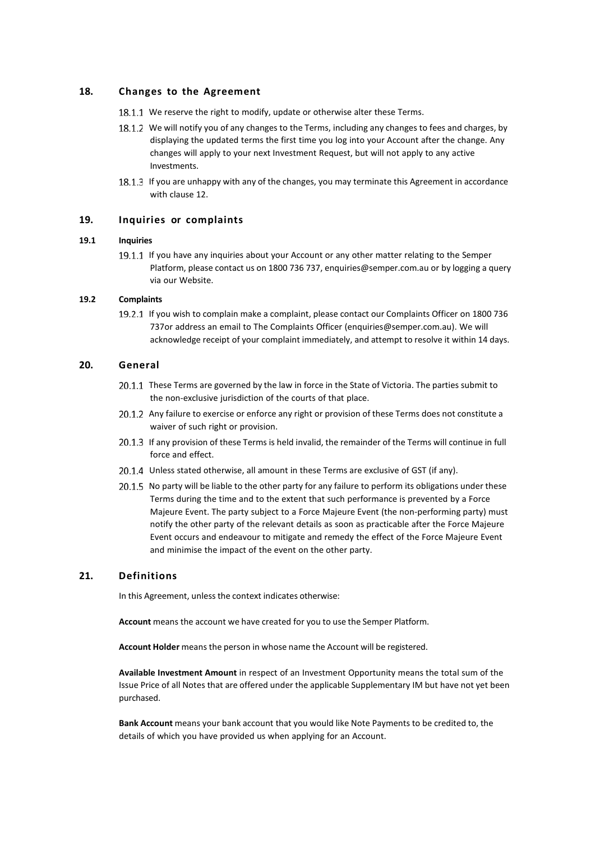## **18. Changes to the Agreement**

- 18.1.1 We reserve the right to modify, update or otherwise alter these Terms.
- 18.1.2 We will notify you of any changes to the Terms, including any changes to fees and charges, by displaying the updated terms the first time you log into your Account after the change. Any changes will apply to your next Investment Request, but will not apply to any active Investments.
- 18.1.3 If you are unhappy with any of the changes, you may terminate this Agreement in accordance with clause [12.](#page-8-4)

## **19. Inquiries or complaints**

#### **19.1 Inquiries**

19.1.1 If you have any inquiries about your Account or any other matter relating to the Semper Platform, please contact us on 1800 736 737, [enquiries@semper.com.au](mailto:enquiries@semper.com.au) or by logging a query via our Website.

## **19.2 Complaints**

19.2.1 If you wish to complain make a complaint, please contact our Complaints Officer on 1800 736 737or address an email to The Complaints Officer (enquiries@semper.com.au). We will acknowledge receipt of your complaint immediately, and attempt to resolve it within 14 days.

## **20. General**

- 20.1.1 These Terms are governed by the law in force in the State of Victoria. The parties submit to the non-exclusive jurisdiction of the courts of that place.
- 20.1.2 Any failure to exercise or enforce any right or provision of these Terms does not constitute a waiver of such right or provision.
- 20.1.3 If any provision of these Terms is held invalid, the remainder of the Terms will continue in full force and effect.
- 20.1.4 Unless stated otherwise, all amount in these Terms are exclusive of GST (if any).
- 20.1.5 No party will be liable to the other party for any failure to perform its obligations under these Terms during the time and to the extent that such performance is prevented by a Force Majeure Event. The party subject to a Force Majeure Event (the non-performing party) must notify the other party of the relevant details as soon as practicable after the Force Majeure Event occurs and endeavour to mitigate and remedy the effect of the Force Majeure Event and minimise the impact of the event on the other party.

## **21. Definitions**

In this Agreement, unless the context indicates otherwise:

**Account** means the account we have created for you to use the Semper Platform.

**Account Holder** means the person in whose name the Account will be registered.

**Available Investment Amount** in respect of an Investment Opportunity means the total sum of the Issue Price of all Notes that are offered under the applicable Supplementary IM but have not yet been purchased.

**Bank Account** means your bank account that you would like Note Payments to be credited to, the details of which you have provided us when applying for an Account.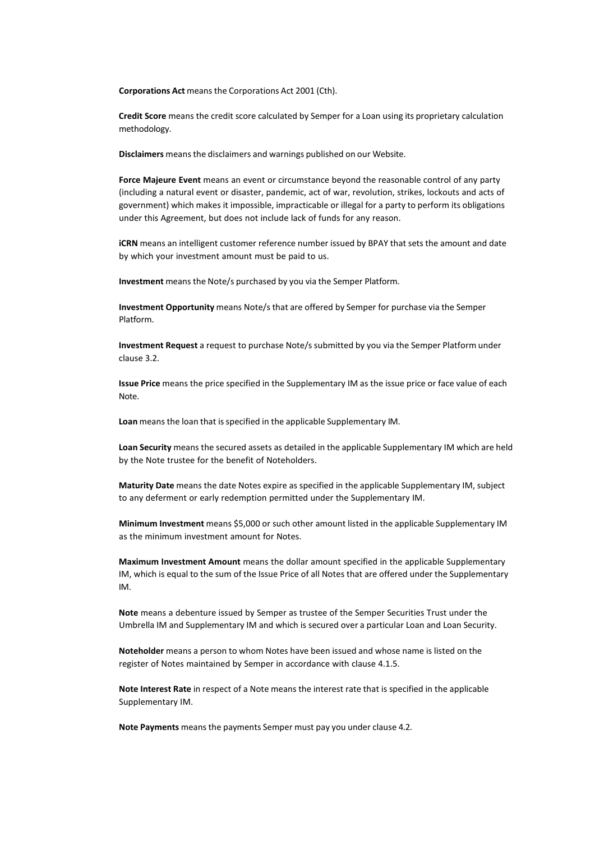**Corporations Act** meansthe Corporations Act 2001 (Cth).

**Credit Score** means the credit score calculated by Semper for a Loan using its proprietary calculation methodology.

**Disclaimers** meansthe disclaimers and warnings published on our Website.

**Force Majeure Event** means an event or circumstance beyond the reasonable control of any party (including a natural event or disaster, pandemic, act of war, revolution, strikes, lockouts and acts of government) which makes it impossible, impracticable or illegal for a party to perform its obligations under this Agreement, but does not include lack of funds for any reason.

**iCRN** means an intelligent customer reference number issued by BPAY that sets the amount and date by which your investment amount must be paid to us.

**Investment** means the Note/s purchased by you via the Semper Platform.

**Investment Opportunity** means Note/s that are offered by Semper for purchase via the Semper Platform.

**Investment Request** a request to purchase Note/s submitted by you via the Semper Platform under clause [3.2.](#page-4-1)

**Issue Price** means the price specified in the Supplementary IM as the issue price or face value of each Note.

Loan means the loan that is specified in the applicable Supplementary IM.

**Loan Security** means the secured assets as detailed in the applicable Supplementary IM which are held by the Note trustee for the benefit of Noteholders.

**Maturity Date** means the date Notes expire as specified in the applicable Supplementary IM, subject to any deferment or early redemption permitted under the Supplementary IM.

**Minimum Investment** means \$5,000 or such other amount listed in the applicable Supplementary IM as the minimum investment amount for Notes.

**Maximum Investment Amount** means the dollar amount specified in the applicable Supplementary IM, which is equal to the sum of the Issue Price of all Notes that are offered under the Supplementary IM.

**Note** means a debenture issued by Semper as trustee of the Semper Securities Trust under the Umbrella IM and Supplementary IM and which is secured over a particular Loan and Loan Security.

**Noteholder** means a person to whom Notes have been issued and whose name is listed on the register of Notes maintained by Semper in accordance with clause [4.1.5.](#page-5-3)

**Note Interest Rate** in respect of a Note means the interest rate that is specified in the applicable Supplementary IM.

Note Payments means the payments Semper must pay you under clause [4.2.](#page-5-1)